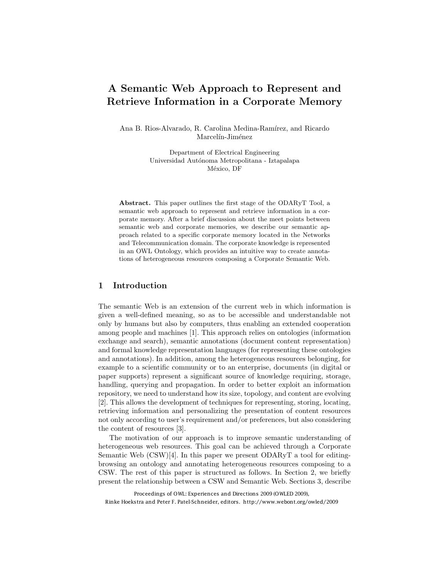# A Semantic Web Approach to Represent and Retrieve Information in a Corporate Memory

Ana B. Rios-Alvarado, R. Carolina Medina-Ramírez, and Ricardo Marcelín-Jiménez

> Department of Electrical Engineering Universidad Autónoma Metropolitana - Iztapalapa México, DF

Abstract. This paper outlines the first stage of the ODARyT Tool, a semantic web approach to represent and retrieve information in a corporate memory. After a brief discussion about the meet points between semantic web and corporate memories, we describe our semantic approach related to a specific corporate memory located in the Networks and Telecommunication domain. The corporate knowledge is represented in an OWL Ontology, which provides an intuitive way to create annotations of heterogeneous resources composing a Corporate Semantic Web.

### 1 Introduction

The semantic Web is an extension of the current web in which information is given a well-defined meaning, so as to be accessible and understandable not only by humans but also by computers, thus enabling an extended cooperation among people and machines [1]. This approach relies on ontologies (information exchange and search), semantic annotations (document content representation) and formal knowledge representation languages (for representing these ontologies and annotations). In addition, among the heterogeneous resources belonging, for example to a scientific community or to an enterprise, documents (in digital or paper supports) represent a significant source of knowledge requiring, storage, handling, querying and propagation. In order to better exploit an information repository, we need to understand how its size, topology, and content are evolving [2]. This allows the development of techniques for representing, storing, locating, retrieving information and personalizing the presentation of content resources not only according to user's requirement and/or preferences, but also considering the content of resources [3].

The motivation of our approach is to improve semantic understanding of heterogeneous web resources. This goal can be achieved through a Corporate Semantic Web (CSW)[4]. In this paper we present ODARyT a tool for editingbrowsing an ontology and annotating heterogeneous resources composing to a CSW. The rest of this paper is structured as follows. In Section 2, we briefly present the relationship between a CSW and Semantic Web. Sections 3, describe

Proceedings of OWL: Experiences and Directions 2009 (OWLED 2009), Rinke Hoekstra and Peter F. Patel-Schneider, editors. http://www.webont.org/owled/2009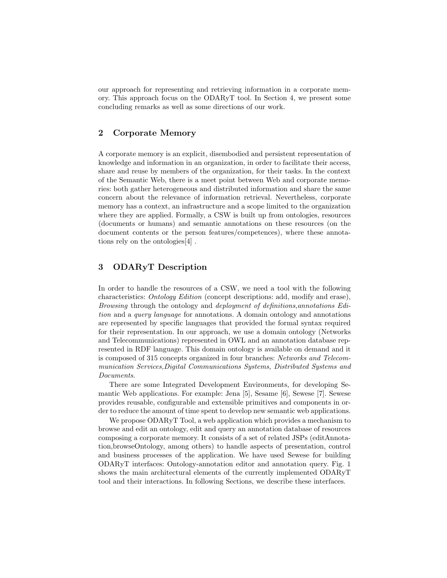our approach for representing and retrieving information in a corporate memory. This approach focus on the ODARyT tool. In Section 4, we present some concluding remarks as well as some directions of our work.

## 2 Corporate Memory

A corporate memory is an explicit, disembodied and persistent representation of knowledge and information in an organization, in order to facilitate their access, share and reuse by members of the organization, for their tasks. In the context of the Semantic Web, there is a meet point between Web and corporate memories: both gather heterogeneous and distributed information and share the same concern about the relevance of information retrieval. Nevertheless, corporate memory has a context, an infrastructure and a scope limited to the organization where they are applied. Formally, a CSW is built up from ontologies, resources (documents or humans) and semantic annotations on these resources (on the document contents or the person features/competences), where these annotations rely on the ontologies[4] .

### 3 ODARyT Description

In order to handle the resources of a CSW, we need a tool with the following characteristics: *Ontology Edition* (concept descriptions: add, modify and erase), *Browsing* through the ontology and *deployment of definitions*,*annotations Edition* and a *query language* for annotations. A domain ontology and annotations are represented by specific languages that provided the formal syntax required for their representation. In our approach, we use a domain ontology (Networks and Telecommunications) represented in OWL and an annotation database represented in RDF language. This domain ontology is available on demand and it is composed of 315 concepts organized in four branches: *Networks and Telecommunication Services,Digital Communications Systems, Distributed Systems and Documents*.

There are some Integrated Development Environments, for developing Semantic Web applications. For example: Jena [5], Sesame [6], Sewese [7]. Sewese provides reusable, configurable and extensible primitives and components in order to reduce the amount of time spent to develop new semantic web applications.

We propose ODARyT Tool, a web application which provides a mechanism to browse and edit an ontology, edit and query an annotation database of resources composing a corporate memory. It consists of a set of related JSPs (editAnnotation,browseOntology, among others) to handle aspects of presentation, control and business processes of the application. We have used Sewese for building ODARyT interfaces: Ontology-annotation editor and annotation query. Fig. 1 shows the main architectural elements of the currently implemented ODARyT tool and their interactions. In following Sections, we describe these interfaces.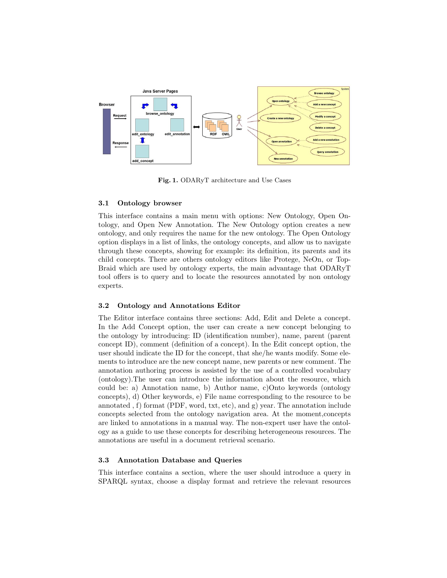

Fig. 1. ODARyT architecture and Use Cases

#### 3.1 Ontology browser

This interface contains a main menu with options: New Ontology, Open Ontology, and Open New Annotation. The New Ontology option creates a new ontology, and only requires the name for the new ontology. The Open Ontology option displays in a list of links, the ontology concepts, and allow us to navigate through these concepts, showing for example: its definition, its parents and its child concepts. There are others ontology editors like Protege, NeOn, or Top-Braid which are used by ontology experts, the main advantage that ODARyT tool offers is to query and to locate the resources annotated by non ontology experts.

#### 3.2 Ontology and Annotations Editor

The Editor interface contains three sections: Add, Edit and Delete a concept. In the Add Concept option, the user can create a new concept belonging to the ontology by introducing: ID (identification number), name, parent (parent concept ID), comment (definition of a concept). In the Edit concept option, the user should indicate the ID for the concept, that she/he wants modify. Some elements to introduce are the new concept name, new parents or new comment. The annotation authoring process is assisted by the use of a controlled vocabulary (ontology).The user can introduce the information about the resource, which could be: a) Annotation name, b) Author name, c)Onto keywords (ontology concepts), d) Other keywords, e) File name corresponding to the resource to be annotated , f) format (PDF, word, txt, etc), and g) year. The annotation include concepts selected from the ontology navigation area. At the moment,concepts are linked to annotations in a manual way. The non-expert user have the ontology as a guide to use these concepts for describing heterogeneous resources. The annotations are useful in a document retrieval scenario.

#### 3.3 Annotation Database and Queries

This interface contains a section, where the user should introduce a query in SPARQL syntax, choose a display format and retrieve the relevant resources